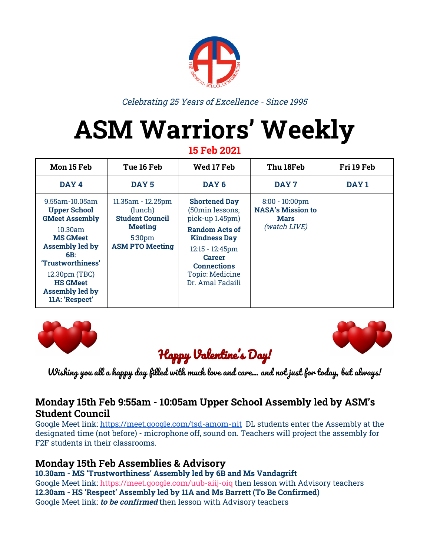

Celebrating 25 Years of Excellence - Since 1995

# **ASM Warriors' Weekly**

**15 Feb 2021**

| Mon 15 Feb                                                                                                                                                                                                                                    | Tue 16 Feb                                                                                                   | Wed 17 Feb                                                                                                                                                                                                     | Thu 18Feb                                                                           | Fri 19 Feb       |
|-----------------------------------------------------------------------------------------------------------------------------------------------------------------------------------------------------------------------------------------------|--------------------------------------------------------------------------------------------------------------|----------------------------------------------------------------------------------------------------------------------------------------------------------------------------------------------------------------|-------------------------------------------------------------------------------------|------------------|
| DAY <sub>4</sub>                                                                                                                                                                                                                              | DAY <sub>5</sub>                                                                                             | DAY <sub>6</sub>                                                                                                                                                                                               | DAY <sub>7</sub>                                                                    | DAY <sub>1</sub> |
| $9.55$ am - $10.05$ am<br><b>Upper School</b><br><b>GMeet Assembly</b><br>$10.30$ am<br><b>MS GMeet</b><br><b>Assembly led by</b><br>6B:<br>'Trustworthiness'<br>12.30pm (TBC)<br><b>HS GMeet</b><br><b>Assembly led by</b><br>11A: 'Respect' | 11.35am - 12.25pm<br>(lunch)<br><b>Student Council</b><br><b>Meeting</b><br>5:30pm<br><b>ASM PTO Meeting</b> | <b>Shortened Day</b><br>(50min lessons;<br>pick-up 1.45pm)<br>Random Acts of<br><b>Kindness Day</b><br>$12:15 - 12:45$ pm<br><b>Career</b><br><b>Connections</b><br><b>Topic: Medicine</b><br>Dr. Amal Fadaili | $8:00 - 10:00 \text{pm}$<br><b>NASA's Mission to</b><br><b>Mars</b><br>(watch LIVE) |                  |





# Happy Valentine's Day!

Wishing you all a happy day filled with much love and care… and not just for today, but always!

#### **Monday 15th Feb 9:55am - 10:05am Upper School Assembly led by ASM's Student Council**

Google Meet link: <https://meet.google.com/tsd-amom-nit> DL students enter the Assembly at the designated time (not before) - microphone off, sound on. Teachers will project the assembly for F2F students in their classrooms.

### **Monday 15th Feb Assemblies & Advisory**

**10.30am - MS 'Trustworthiness' Assembly led by 6B and Ms Vandagrift** Google Meet link: <https://meet.google.com/uub-aiij-oiq> then lesson with Advisory teachers **12.30am - HS 'Re[s](https://meet.google.com/ycd-juad-bus)pect' Assembly led by 11A and Ms Barrett (To Be Confirmed)** Google Meet link: **to be confirmed** then lesson with Advisory teachers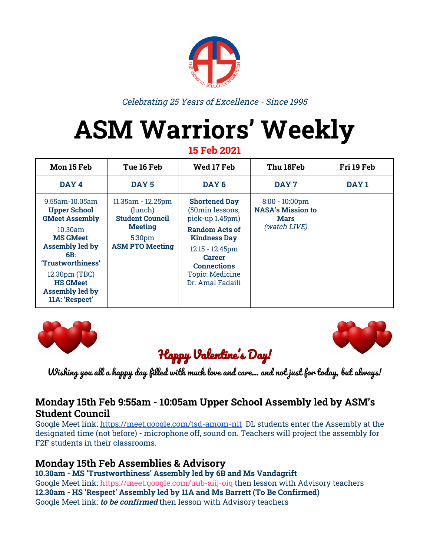#### **Tuesday 16th Feb 11:35am - 12:25pm (lunchtime) Student Council Meeting**

DL Student Council Representatives please join with the following link: [Student](https://meet.google.com/tqs-pozb-yav) Council GMeet

#### **Tuesday 16th Feb 5:30pm ASM PTO Meeting**

Please join with the following link: [meet.google.com/hvc-efhq-wrz](https://asm.us1.list-manage.com/track/click?u=74bb2324d2e0906d1a67beca0&id=4cd8fef677&e=3f4b248481)

#### **Wednesday 17th Feb 12:15 - 12:45pm Career Connections**

Topic: Medicine with Dr Amal Fadaili MD. Dr. Fadaili is a Morocco and US trained physician specializing in Anatomical Pathology. Google Meet Link: [meet.google.com/vzf-ngsz-pjn](https://meet.google.com/vzf-ngsz-pjn)

#### **Thursday Feb 18th 20:00 - 22:00pm NASA's Mission to Mars**

NASA will attempt to land the Perseverance rover on the surface of Mars. Encourage students to watch LIVE using a link found on the following site: <https://mars.nasa.gov/mars2020/timeline/landing/>

#### **Monday 22nd -Friday 26th Feb**

**Spring Break** (NO CLASSES)



- Mon 1st March (9:55 10:05am) **Upper School Assembly**
- Mon 8th March (9:55 10:05am) **Upper School Assembly** Monday/Tuesday 8th/9th March **IBDP Authorization Virtual Visit to ASM**
- Mon 15th March (9:55 10:05am) **Upper School Assembly**
- Tues 16th March (Full Day NO CLASSES) & Wed 17 March (Afternoon NO CLASSES Upper School only) - **Parent Teacher Conferences** Fri 19th March **Midterm Reports** distributed electronically
- Mon 22nd March (9:55 10:05am) **Upper School Assembly** March 22nd - 30th **AP Mock Exams** Wed 24th March **PSAT10 Exam** for all Grade 10 students
- Mon 29th March (9:55 10:05am) **Upper School Assembly** Wed 31st March (12:15 - 12:45pm) **Career Connections** Topic: Public Office & Government with Yousra Benchekroun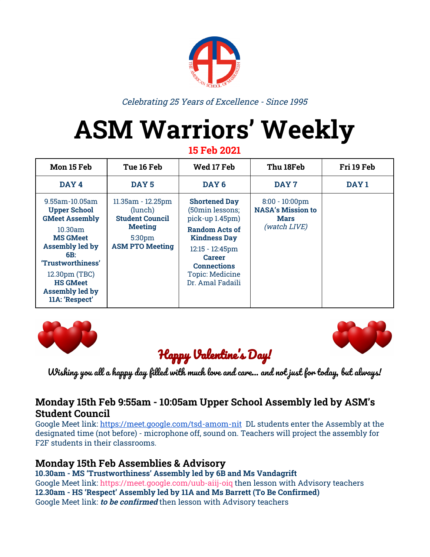



# Random Acts Of Kindness Week

Article by Diane Soulan (Grade 10)

Kindness is the wonderful quality of being friendly, generous and considerate. Kindness involves the willingness to celebrate and give attention to someone else which requires strength. Kindness betters the lives of others through genuine acts of love, compassion, generosity and service. It allows us to form strong bonds and relationships with others. Kindness gives hope to humanity as life seems brighter.

Here are some random acts of kindness:

- Be kind to your server; leave a generous tip
- Text someone good morning or good night
- Make an effort to learn something new about others
- Compliment your friends and family
- Ask an elder about their past
- Pick up trash

Make sure to be kind to yourself too:

- Go on a walk
- Learn something new and fun
- Get a massage
- Go on a picnic

This week is random acts of kindness week. Here are things you can do each day of the week to fill your life with kindness.

- 1. **? bXbYgg >Uf.** Everytime you witness an act of kindness, write it down and put it into an empty jar. Collect memories, observations and unexpected surprises of kindness! Reflect whenever you want, and make 2021 a year filled with kindness.
- 2. *C Y* **BcHY.** First, write a beautiful letter to someone who has changed your life for the better. Self love is extremely important so write a letter to yourself, describing all your strengths, skills, values, behaviors and actions that make you who you are so that you can read it when you need to hear those words.
- 3. **6 Ygg]b[ 6 U g.** Gather items to create a blessing bag for those in need. You may include socks, tissues, chapstick, food cans, toothbrush, etc…
- 1. **? JbXbYgg K cf\_g\ YYh** Incorporate kindness into your daily routine by using this [worksheet](https://assets.randomactsofkindness.org/downloads/rakday/make_kindness_the_norm_worksheet.pdf). List five day-to-day activities you do and write a way you can do the same activity, but with an added element of kindness.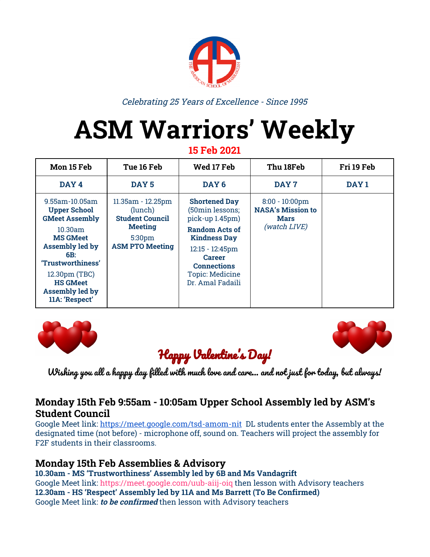#### **2020 MIssion: Perseverance Rover**

**Article by: Aahd Arnous (Grade 10)**

#### **Perseverance: The ancient search of life on Mars**

As you may know, Mars is the closest planet that we can reach to with robotic exploration. The perseverance rover was launched July 2020 to land on Jezero Crater. The landing is scheduled to happen Thursday February 18th. Jezero Crater is a very interesting place, as it is a crater that once held a lake but there seem to be various other craters that once held lakes. This crater seemed unique because it had an inflow channel and an outflow channel which means that it had water.

The purpose of the Perseverance mission was to investigate astrobiology on Mars in particular so that we are able to address the question of whether life ever existed on Mars. The perseverance rover starts with a design that is very similar to the curiosity rover, the only difference is that a whole new set of science instruments were added to it. This set of instruments were selected in order to help in search of bio signatures. The upgrade that this rover has over the curiosity rover is that it is able to self drive for a distance of 200 meters per day and as it is driving, it is building the map of the road on mars.

So essentially what Perseverance rover 2020 is going to do is drill samples, put them in small tubes, seal it in its own individual tube, and then send them hoping they will get to earth by 2031.

There are several ways that the mission helps pave the way for future human expeditions to Mars and demonstrates technologies that may be used in those endeavors. These include testing a method for producing oxygen from the Martian atmosphere, identifying other resources (such as subsurface water), improving landing techniques, and characterizing weather, dust, and other potential environmental conditions that could affect future astronauts living and working on Mars.

**Thursday Feb 18th 20:00 - 22:00pm** NASA's Mission to Mars NASA will attempt to land the Perseverance rover on the surface of Mars. You can watch LIVE using a link found on the following site... <https://mars.nasa.gov/mars2020/timeline/landing/>



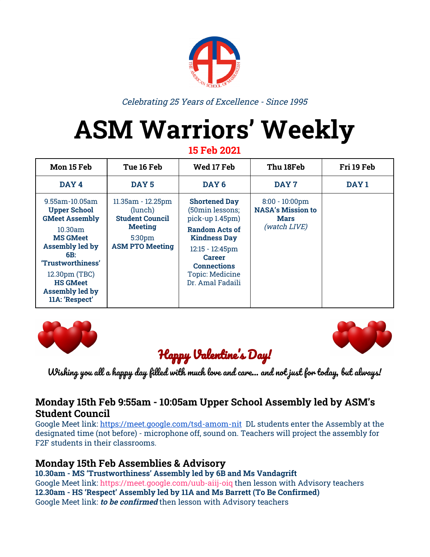

Article by Jessica Abou Zbib (Grade 10)

## **Introduction**

- Next week (Feb 22nd Feb 26th) there will be a one week break, have you thought about what you want to do? Did you set goals for yourself? Have you considered what you want to do?
- *● ["Our goals can only be reached through a vehicle of a plan](https://www.success.com/article/10-steps-to-achieve-any-goal), in which we must fervently believe, and upon which we must vigorously act. There is no other route to success." —Pablo Picasso*

# **Have you thought about this?**

- As an individual, you can accomplish several things in the upcoming break. Some of you may want to work on your APs, you may want to learn a new sport, or even a new language or musical instrument.
	- Write it down: What do I want to accomplish this break?
	- What steps should I take to do that?
	- Make sure you do something that you enjoy. Go out with friends! Watch a movie! Read something you enjoy! Maybe even practice a new skill!

○ You can do a lot in a week!

## **Importance of Sports**

- All ASM students should be thinking about doing something active this break. Some ideas are going out for a walk/run… plan to work out 30 minutes three times a week.
	- Your actions all depend on your thoughts!
	- Sports help control diabetes, manage weight, enhance blood circulation, and manage levels of stress.
	- Recommendations to learn more about the importance of sport:
		- Article:[https://www.nordangliaeducation.com/article/2020/5/1/the-import](https://www.nordangliaeducation.com/article/2020/5/1/the-importance-of-sports-in-education) [ance-of-sports-in-education](https://www.nordangliaeducation.com/article/2020/5/1/the-importance-of-sports-in-education)
		- Video: <https://www.youtube.com/watch?v=orVIPr25ivo>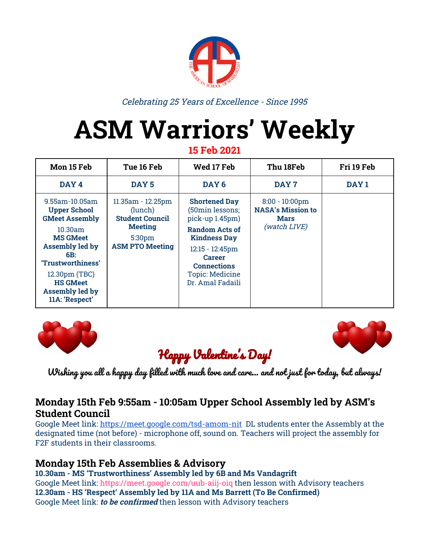# **Photo Memories**

Valentine's Cookies from ASM's PTO!